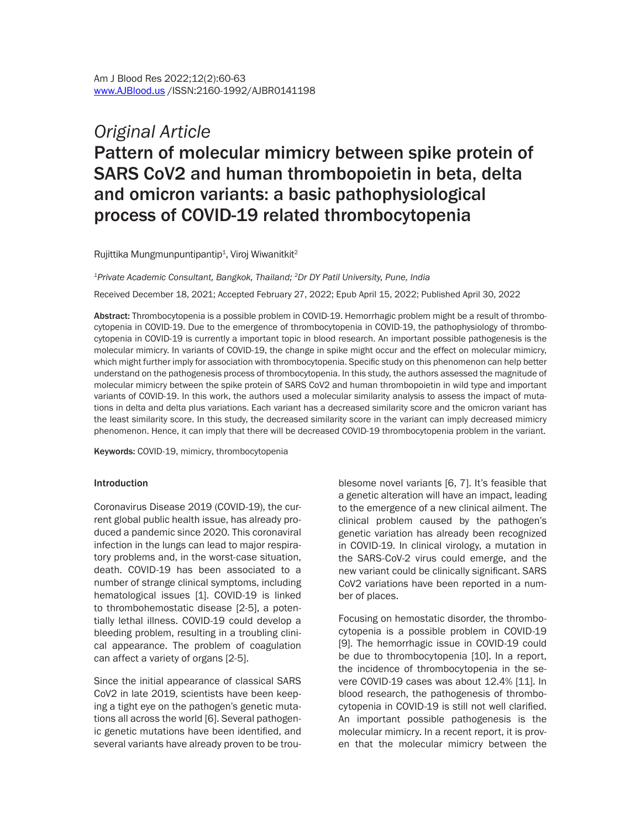# *Original Article* Pattern of molecular mimicry between spike protein of SARS CoV2 and human thrombopoietin in beta, delta and omicron variants: a basic pathophysiological process of COVID-19 related thrombocytopenia

Rujittika Mungmunpuntipantip<sup>1</sup>, Viroj Wiwanitkit<sup>2</sup>

*1Private Academic Consultant, Bangkok, Thailand; 2Dr DY Patil University, Pune, India* Received December 18, 2021; Accepted February 27, 2022; Epub April 15, 2022; Published April 30, 2022

Abstract: Thrombocytopenia is a possible problem in COVID-19. Hemorrhagic problem might be a result of thrombocytopenia in COVID-19. Due to the emergence of thrombocytopenia in COVID-19, the pathophysiology of thrombocytopenia in COVID-19 is currently a important topic in blood research. An important possible pathogenesis is the molecular mimicry. In variants of COVID-19, the change in spike might occur and the effect on molecular mimicry, which might further imply for association with thrombocytopenia. Specific study on this phenomenon can help better understand on the pathogenesis process of thrombocytopenia. In this study, the authors assessed the magnitude of molecular mimicry between the spike protein of SARS CoV2 and human thrombopoietin in wild type and important variants of COVID-19. In this work, the authors used a molecular similarity analysis to assess the impact of mutations in delta and delta plus variations. Each variant has a decreased similarity score and the omicron variant has the least similarity score. In this study, the decreased similarity score in the variant can imply decreased mimicry phenomenon. Hence, it can imply that there will be decreased COVID-19 thrombocytopenia problem in the variant.

Keywords: COVID-19, mimicry, thrombocytopenia

#### Introduction

Coronavirus Disease 2019 (COVID-19), the current global public health issue, has already produced a pandemic since 2020. This coronaviral infection in the lungs can lead to major respiratory problems and, in the worst-case situation, death. COVID-19 has been associated to a number of strange clinical symptoms, including hematological issues [1]. COVID-19 is linked to thrombohemostatic disease [2-5], a potentially lethal illness. COVID-19 could develop a bleeding problem, resulting in a troubling clinical appearance. The problem of coagulation can affect a variety of organs [2-5].

Since the initial appearance of classical SARS CoV2 in late 2019, scientists have been keeping a tight eye on the pathogen's genetic mutations all across the world [6]. Several pathogenic genetic mutations have been identified, and several variants have already proven to be troublesome novel variants [6, 7]. It's feasible that a genetic alteration will have an impact, leading to the emergence of a new clinical ailment. The clinical problem caused by the pathogen's genetic variation has already been recognized in COVID-19. In clinical virology, a mutation in the SARS-CoV-2 virus could emerge, and the new variant could be clinically significant. SARS CoV2 variations have been reported in a number of places.

Focusing on hemostatic disorder, the thrombocytopenia is a possible problem in COVID-19 [9]. The hemorrhagic issue in COVID-19 could be due to thrombocytopenia [10]. In a report, the incidence of thrombocytopenia in the severe COVID-19 cases was about 12.4% [11]. In blood research, the pathogenesis of thrombocytopenia in COVID-19 is still not well clarified. An important possible pathogenesis is the molecular mimicry. In a recent report, it is proven that the molecular mimicry between the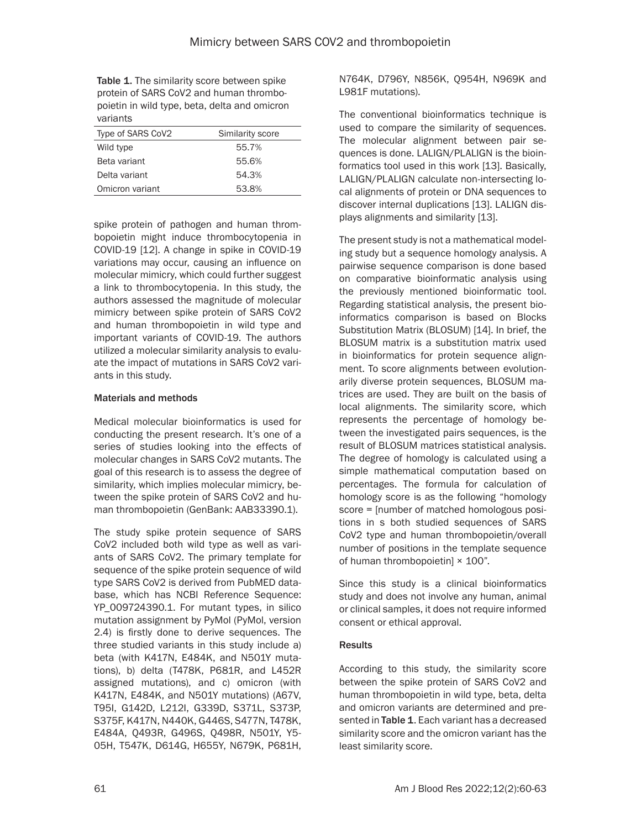Table 1. The similarity score between spike protein of SARS CoV2 and human thrombopoietin in wild type, beta, delta and omicron variants

| Type of SARS CoV2 | Similarity score |
|-------------------|------------------|
| Wild type         | 55.7%            |
| Beta variant      | 55.6%            |
| Delta variant     | 54.3%            |
| Omicron variant   | 53.8%            |

spike protein of pathogen and human thrombopoietin might induce thrombocytopenia in COVID-19 [12]. A change in spike in COVID-19 variations may occur, causing an influence on molecular mimicry, which could further suggest a link to thrombocytopenia. In this study, the authors assessed the magnitude of molecular mimicry between spike protein of SARS CoV2 and human thrombopoietin in wild type and important variants of COVID-19. The authors utilized a molecular similarity analysis to evaluate the impact of mutations in SARS CoV2 variants in this study.

## Materials and methods

Medical molecular bioinformatics is used for conducting the present research. It's one of a series of studies looking into the effects of molecular changes in SARS CoV2 mutants. The goal of this research is to assess the degree of similarity, which implies molecular mimicry, between the spike protein of SARS CoV2 and human thrombopoietin (GenBank: AAB33390.1).

The study spike protein sequence of SARS CoV2 included both wild type as well as variants of SARS CoV2. The primary template for sequence of the spike protein sequence of wild type SARS CoV2 is derived from PubMED database, which has NCBI Reference Sequence: YP\_009724390.1. For mutant types, in silico mutation assignment by PyMol (PyMol, version 2.4) is firstly done to derive sequences. The three studied variants in this study include a) beta (with K417N, E484K, and N501Y mutations), b) delta (T478K, P681R, and L452R assigned mutations), and c) omicron (with K417N, E484K, and N501Y mutations) (A67V, T95I, G142D, L212I, G339D, S371L, S373P, S375F, K417N, N440K, G446S, S477N, T478K, E484A, Q493R, G496S, Q498R, N501Y, Y5- 05H, T547K, D614G, H655Y, N679K, P681H, N764K, D796Y, N856K, Q954H, N969K and L981F mutations).

The conventional bioinformatics technique is used to compare the similarity of sequences. The molecular alignment between pair sequences is done. LALIGN/PLALIGN is the bioinformatics tool used in this work [13]. Basically, LALIGN/PLALIGN calculate non-intersecting local alignments of protein or DNA sequences to discover internal duplications [13]. LALIGN displays alignments and similarity [13].

The present study is not a mathematical modeling study but a sequence homology analysis. A pairwise sequence comparison is done based on comparative bioinformatic analysis using the previously mentioned bioinformatic tool. Regarding statistical analysis, the present bioinformatics comparison is based on Blocks Substitution Matrix (BLOSUM) [14]. In brief, the BLOSUM matrix is a substitution matrix used in bioinformatics for protein sequence alignment. To score alignments between evolutionarily diverse protein sequences, BLOSUM matrices are used. They are built on the basis of local alignments. The similarity score, which represents the percentage of homology between the investigated pairs sequences, is the result of BLOSUM matrices statistical analysis. The degree of homology is calculated using a simple mathematical computation based on percentages. The formula for calculation of homology score is as the following "homology score = [number of matched homologous positions in s both studied sequences of SARS CoV2 type and human thrombopoietin/overall number of positions in the template sequence of human thrombopoietin] × 100".

Since this study is a clinical bioinformatics study and does not involve any human, animal or clinical samples, it does not require informed consent or ethical approval.

## **Results**

According to this study, the similarity score between the spike protein of SARS CoV2 and human thrombopoietin in wild type, beta, delta and omicron variants are determined and presented in Table 1. Each variant has a decreased similarity score and the omicron variant has the least similarity score.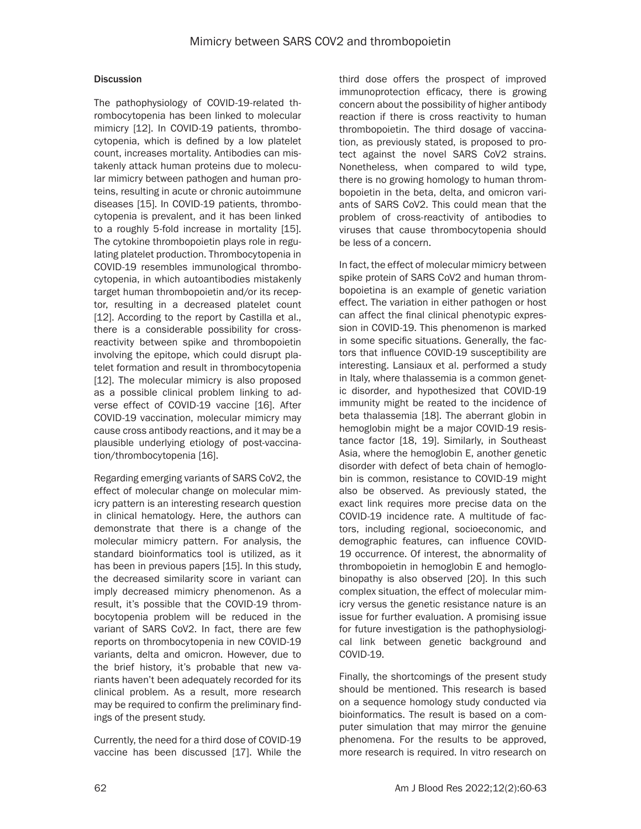## **Discussion**

The pathophysiology of COVID-19-related thrombocytopenia has been linked to molecular mimicry [12]. In COVID-19 patients, thrombocytopenia, which is defined by a low platelet count, increases mortality. Antibodies can mistakenly attack human proteins due to molecular mimicry between pathogen and human proteins, resulting in acute or chronic autoimmune diseases [15]. In COVID-19 patients, thrombocytopenia is prevalent, and it has been linked to a roughly 5-fold increase in mortality [15]. The cytokine thrombopoietin plays role in regulating platelet production. Thrombocytopenia in COVID-19 resembles immunological thrombocytopenia, in which autoantibodies mistakenly target human thrombopoietin and/or its receptor, resulting in a decreased platelet count [12]. According to the report by Castilla et al., there is a considerable possibility for crossreactivity between spike and thrombopoietin involving the epitope, which could disrupt platelet formation and result in thrombocytopenia [12]. The molecular mimicry is also proposed as a possible clinical problem linking to adverse effect of COVID-19 vaccine [16]. After COVID-19 vaccination, molecular mimicry may cause cross antibody reactions, and it may be a plausible underlying etiology of post-vaccination/thrombocytopenia [16].

Regarding emerging variants of SARS CoV2, the effect of molecular change on molecular mimicry pattern is an interesting research question in clinical hematology. Here, the authors can demonstrate that there is a change of the molecular mimicry pattern. For analysis, the standard bioinformatics tool is utilized, as it has been in previous papers [15]. In this study, the decreased similarity score in variant can imply decreased mimicry phenomenon. As a result, it's possible that the COVID-19 thrombocytopenia problem will be reduced in the variant of SARS CoV2. In fact, there are few reports on thrombocytopenia in new COVID-19 variants, delta and omicron. However, due to the brief history, it's probable that new variants haven't been adequately recorded for its clinical problem. As a result, more research may be required to confirm the preliminary findings of the present study.

Currently, the need for a third dose of COVID-19 vaccine has been discussed [17]. While the third dose offers the prospect of improved immunoprotection efficacy, there is growing concern about the possibility of higher antibody reaction if there is cross reactivity to human thrombopoietin. The third dosage of vaccination, as previously stated, is proposed to protect against the novel SARS CoV2 strains. Nonetheless, when compared to wild type, there is no growing homology to human thrombopoietin in the beta, delta, and omicron variants of SARS CoV2. This could mean that the problem of cross-reactivity of antibodies to viruses that cause thrombocytopenia should be less of a concern.

In fact, the effect of molecular mimicry between spike protein of SARS CoV2 and human thrombopoietina is an example of genetic variation effect. The variation in either pathogen or host can affect the final clinical phenotypic expression in COVID-19. This phenomenon is marked in some specific situations. Generally, the factors that influence COVID-19 susceptibility are interesting. Lansiaux et al. performed a study in Italy, where thalassemia is a common genetic disorder, and hypothesized that COVID-19 immunity might be reated to the incidence of beta thalassemia [18]. The aberrant globin in hemoglobin might be a major COVID-19 resistance factor [18, 19]. Similarly, in Southeast Asia, where the hemoglobin E, another genetic disorder with defect of beta chain of hemoglobin is common, resistance to COVID-19 might also be observed. As previously stated, the exact link requires more precise data on the COVID-19 incidence rate. A multitude of factors, including regional, socioeconomic, and demographic features, can influence COVID-19 occurrence. Of interest, the abnormality of thrombopoietin in hemoglobin E and hemoglobinopathy is also observed [20]. In this such complex situation, the effect of molecular mimicry versus the genetic resistance nature is an issue for further evaluation. A promising issue for future investigation is the pathophysiological link between genetic background and COVID-19.

Finally, the shortcomings of the present study should be mentioned. This research is based on a sequence homology study conducted via bioinformatics. The result is based on a computer simulation that may mirror the genuine phenomena. For the results to be approved, more research is required. In vitro research on